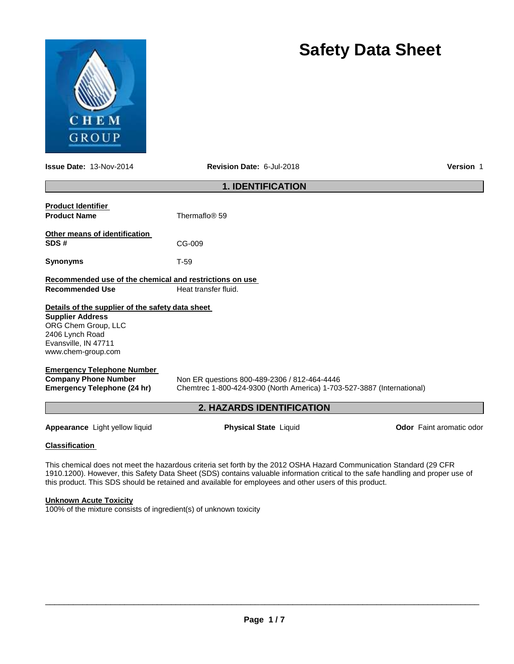

**Issue Date:** 13-Nov-2014 **Revision Date:** 6-Jul-2018 **Version** 1

**Safety Data Sheet**

| <b>1. IDENTIFICATION</b>                                |                                                                                                                                 |                                 |  |  |  |  |  |  |
|---------------------------------------------------------|---------------------------------------------------------------------------------------------------------------------------------|---------------------------------|--|--|--|--|--|--|
|                                                         |                                                                                                                                 |                                 |  |  |  |  |  |  |
| <b>Product Identifier</b>                               | Thermaflo® 59                                                                                                                   |                                 |  |  |  |  |  |  |
| <b>Product Name</b>                                     |                                                                                                                                 |                                 |  |  |  |  |  |  |
| Other means of identification                           |                                                                                                                                 |                                 |  |  |  |  |  |  |
| SDS#                                                    | CG-009                                                                                                                          |                                 |  |  |  |  |  |  |
| <b>Synonyms</b>                                         | $T-59$                                                                                                                          |                                 |  |  |  |  |  |  |
| Recommended use of the chemical and restrictions on use |                                                                                                                                 |                                 |  |  |  |  |  |  |
| <b>Recommended Use</b>                                  | Heat transfer fluid.                                                                                                            |                                 |  |  |  |  |  |  |
| Details of the supplier of the safety data sheet        |                                                                                                                                 |                                 |  |  |  |  |  |  |
| <b>Supplier Address</b>                                 |                                                                                                                                 |                                 |  |  |  |  |  |  |
| ORG Chem Group, LLC                                     |                                                                                                                                 |                                 |  |  |  |  |  |  |
| 2406 Lynch Road                                         |                                                                                                                                 |                                 |  |  |  |  |  |  |
| Evansville, IN 47711                                    |                                                                                                                                 |                                 |  |  |  |  |  |  |
| www.chem-group.com                                      |                                                                                                                                 |                                 |  |  |  |  |  |  |
| <b>Emergency Telephone Number</b>                       |                                                                                                                                 |                                 |  |  |  |  |  |  |
| <b>Company Phone Number</b>                             | Non ER questions 800-489-2306 / 812-464-4446                                                                                    |                                 |  |  |  |  |  |  |
| <b>Emergency Telephone (24 hr)</b>                      | Chemtrec 1-800-424-9300 (North America) 1-703-527-3887 (International)                                                          |                                 |  |  |  |  |  |  |
|                                                         | <b>2. HAZARDS IDENTIFICATION</b>                                                                                                |                                 |  |  |  |  |  |  |
| Appearance Light yellow liquid                          | <b>Physical State Liquid</b>                                                                                                    | <b>Odor</b> Faint aromatic odor |  |  |  |  |  |  |
| <b>Classification</b>                                   |                                                                                                                                 |                                 |  |  |  |  |  |  |
|                                                         | This chemical does not meet the hazardous criteria set forth by the 2012 OSHA Hazard Communication Standard (29 CFR             |                                 |  |  |  |  |  |  |
|                                                         | 1910.1200). However, this Safety Data Sheet (SDS) contains valuable information critical to the safe handling and proper use of |                                 |  |  |  |  |  |  |
|                                                         | this product. This SDS should be retained and available for employees and other users of this product.                          |                                 |  |  |  |  |  |  |
|                                                         |                                                                                                                                 |                                 |  |  |  |  |  |  |

**Unknown Acute Toxicity**

100% of the mixture consists of ingredient(s) of unknown toxicity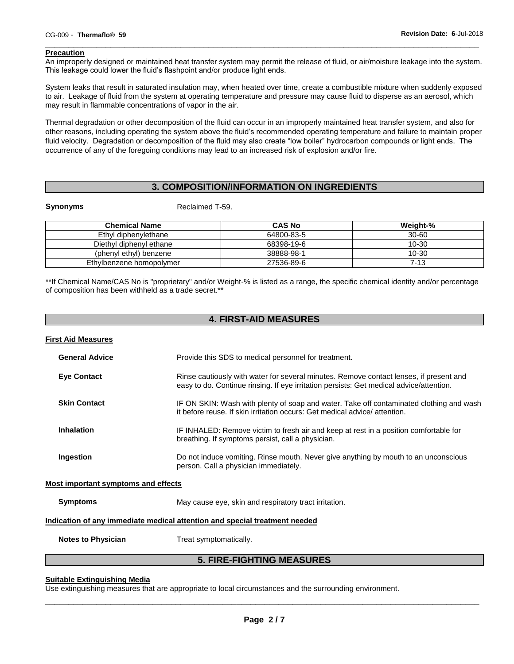## **Precaution**

An improperly designed or maintained heat transfer system may permit the release of fluid, or air/moisture leakage into the system. This leakage could lower the fluid's flashpoint and/or produce light ends.

\_\_\_\_\_\_\_\_\_\_\_\_\_\_\_\_\_\_\_\_\_\_\_\_\_\_\_\_\_\_\_\_\_\_\_\_\_\_\_\_\_\_\_\_\_\_\_\_\_\_\_\_\_\_\_\_\_\_\_\_\_\_\_\_\_\_\_\_\_\_\_\_\_\_\_\_\_\_\_\_\_\_\_\_\_\_\_\_\_\_\_\_\_

System leaks that result in saturated insulation may, when heated over time, create a combustible mixture when suddenly exposed to air. Leakage of fluid from the system at operating temperature and pressure may cause fluid to disperse as an aerosol, which may result in flammable concentrations of vapor in the air.

Thermal degradation or other decomposition of the fluid can occur in an improperly maintained heat transfer system, and also for other reasons, including operating the system above the fluid's recommended operating temperature and failure to maintain proper fluid velocity. Degradation or decomposition of the fluid may also create "low boiler" hydrocarbon compounds or light ends. The occurrence of any of the foregoing conditions may lead to an increased risk of explosion and/or fire.

# **3. COMPOSITION/INFORMATION ON INGREDIENTS**

**Synonyms** Reclaimed T-59.

| <b>Chemical Name</b>     | <b>CAS No</b> | Weight-% |
|--------------------------|---------------|----------|
| Ethyl diphenylethane     | 64800-83-5    | 30-60    |
| Diethyl diphenyl ethane  | 68398-19-6    | 10-30    |
| (phenyl ethyl) benzene   | 38888-98-1    | 10-30    |
| Ethylbenzene homopolymer | 27536-89-6    | 7-13     |

\*\*If Chemical Name/CAS No is "proprietary" and/or Weight-% is listed as a range, the specific chemical identity and/or percentage of composition has been withheld as a trade secret.\*\*

| <b>4. FIRST-AID MEASURES</b>                                                      |                                                                                                                                                                                   |  |  |  |
|-----------------------------------------------------------------------------------|-----------------------------------------------------------------------------------------------------------------------------------------------------------------------------------|--|--|--|
| <b>First Aid Measures</b>                                                         |                                                                                                                                                                                   |  |  |  |
| <b>General Advice</b>                                                             | Provide this SDS to medical personnel for treatment.                                                                                                                              |  |  |  |
| <b>Eye Contact</b>                                                                | Rinse cautiously with water for several minutes. Remove contact lenses, if present and<br>easy to do. Continue rinsing. If eye irritation persists: Get medical advice/attention. |  |  |  |
| <b>Skin Contact</b>                                                               | IF ON SKIN: Wash with plenty of soap and water. Take off contaminated clothing and wash<br>it before reuse. If skin irritation occurs: Get medical advice/attention.              |  |  |  |
| <b>Inhalation</b>                                                                 | IF INHALED: Remove victim to fresh air and keep at rest in a position comfortable for<br>breathing. If symptoms persist, call a physician.                                        |  |  |  |
| Ingestion                                                                         | Do not induce vomiting. Rinse mouth. Never give anything by mouth to an unconscious<br>person. Call a physician immediately.                                                      |  |  |  |
| <b>Most important symptoms and effects</b>                                        |                                                                                                                                                                                   |  |  |  |
| <b>Symptoms</b>                                                                   | May cause eye, skin and respiratory tract irritation.                                                                                                                             |  |  |  |
| <u>Indication of any immediate medical attention and special treatment needed</u> |                                                                                                                                                                                   |  |  |  |
| <b>Notes to Physician</b>                                                         | Treat symptomatically.                                                                                                                                                            |  |  |  |
| <b>5. FIRE-FIGHTING MEASURES</b>                                                  |                                                                                                                                                                                   |  |  |  |

#### **Suitable Extinguishing Media**

Use extinguishing measures that are appropriate to local circumstances and the surrounding environment.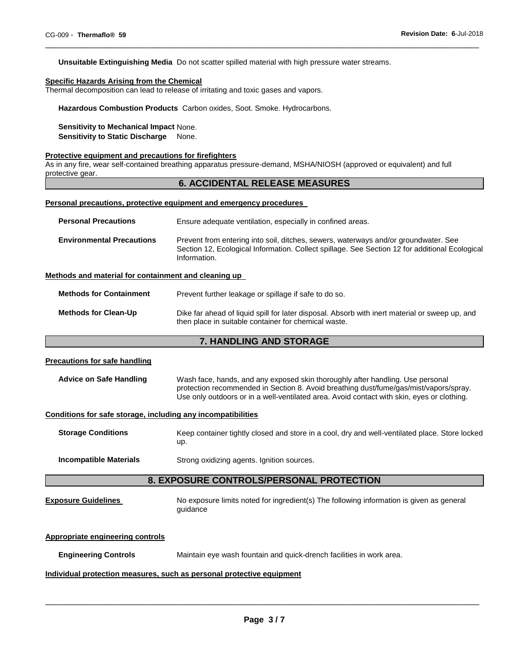**Unsuitable Extinguishing Media** Do not scatter spilled material with high pressure water streams.

## **Specific Hazards Arising from the Chemical**

Thermal decomposition can lead to release of irritating and toxic gases and vapors.

**Hazardous Combustion Products** Carbon oxides, Soot. Smoke. Hydrocarbons.

## **Sensitivity to Mechanical Impact** None.

**Sensitivity to Static Discharge** None.

#### **Protective equipment and precautions for firefighters**

As in any fire, wear self-contained breathing apparatus pressure-demand, MSHA/NIOSH (approved or equivalent) and full protective gear.

## **6. ACCIDENTAL RELEASE MEASURES**

\_\_\_\_\_\_\_\_\_\_\_\_\_\_\_\_\_\_\_\_\_\_\_\_\_\_\_\_\_\_\_\_\_\_\_\_\_\_\_\_\_\_\_\_\_\_\_\_\_\_\_\_\_\_\_\_\_\_\_\_\_\_\_\_\_\_\_\_\_\_\_\_\_\_\_\_\_\_\_\_\_\_\_\_\_\_\_\_\_\_\_\_\_

#### **Personal precautions, protective equipment and emergency procedures**

| <b>Personal Precautions</b>      | Ensure adequate ventilation, especially in confined areas.                                                                                                                                            |  |  |  |  |
|----------------------------------|-------------------------------------------------------------------------------------------------------------------------------------------------------------------------------------------------------|--|--|--|--|
| <b>Environmental Precautions</b> | Prevent from entering into soil, ditches, sewers, waterways and/or groundwater. See<br>Section 12, Ecological Information. Collect spillage. See Section 12 for additional Ecological<br>Information. |  |  |  |  |

#### **Methods and material for containment and cleaning up**

**Methods for Containment** Prevent further leakage or spillage if safe to do so.

**Methods for Clean-Up** Dike far ahead of liquid spill for later disposal. Absorb with inert material or sweep up, and then place in suitable container for chemical waste.

# **7. HANDLING AND STORAGE**

## **Precautions for safe handling**

| <b>Advice on Safe Handling</b> | Wash face, hands, and any exposed skin thoroughly after handling. Use personal             |  |  |  |  |
|--------------------------------|--------------------------------------------------------------------------------------------|--|--|--|--|
|                                | protection recommended in Section 8. Avoid breathing dust/fume/gas/mist/vapors/spray.      |  |  |  |  |
|                                | Use only outdoors or in a well-ventilated area. Avoid contact with skin, eyes or clothing. |  |  |  |  |

## **Conditions for safe storage, including any incompatibilities**

| <b>Storage Conditions</b> | Keep container tightly closed and store in a cool, dry and well-ventilated place. Store locked |
|---------------------------|------------------------------------------------------------------------------------------------|
|                           | up.                                                                                            |

**Incompatible Materials Strong oxidizing agents. Ignition sources.** 

## **8. EXPOSURE CONTROLS/PERSONAL PROTECTION**

**Exposure Guidelines** No exposure limits noted for ingredient(s) The following information is given as general guidance

#### **Appropriate engineering controls**

**Engineering Controls** Maintain eye wash fountain and quick-drench facilities in work area.

#### **Individual protection measures, such as personal protective equipment**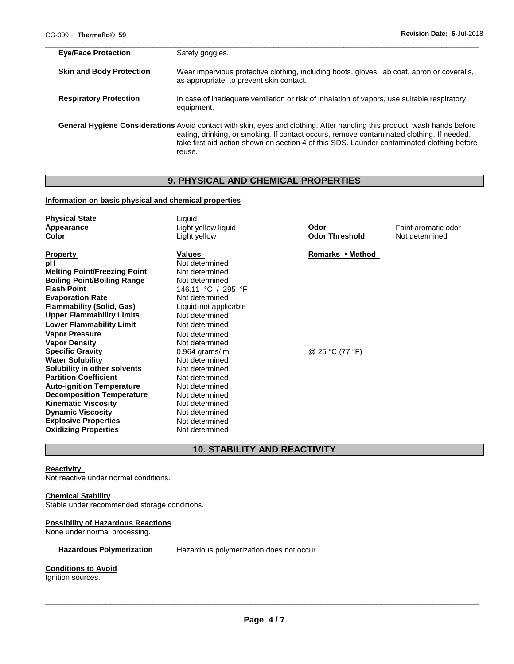| <b>Eye/Face Protection</b>      | Safety goggles.                                                                                                                                                                                                                                                                                                                |
|---------------------------------|--------------------------------------------------------------------------------------------------------------------------------------------------------------------------------------------------------------------------------------------------------------------------------------------------------------------------------|
| <b>Skin and Body Protection</b> | Wear impervious protective clothing, including boots, gloves, lab coat, apron or coveralls,<br>as appropriate, to prevent skin contact.                                                                                                                                                                                        |
| <b>Respiratory Protection</b>   | In case of inadequate ventilation or risk of inhalation of vapors, use suitable respiratory<br>equipment.                                                                                                                                                                                                                      |
|                                 | General Hygiene Considerations Avoid contact with skin, eyes and clothing. After handling this product, wash hands before<br>eating, drinking, or smoking. If contact occurs, remove contaminated clothing. If needed,<br>take first aid action shown on section 4 of this SDS. Launder contaminated clothing before<br>reuse. |

# **9. PHYSICAL AND CHEMICAL PROPERTIES**

## **Information on basic physical and chemical properties**

| <b>Physical State</b><br>Appearance<br>Color                                                                                                                                                                                                                                                                                                                                                                                                                                                                                                                                                           | Liquid<br>Light yellow liquid<br>Light yellow                                                                                                                                                                                                                                                                                                                              | Odor<br><b>Odor Threshold</b>       | Faint aromatic odor<br>Not determined |
|--------------------------------------------------------------------------------------------------------------------------------------------------------------------------------------------------------------------------------------------------------------------------------------------------------------------------------------------------------------------------------------------------------------------------------------------------------------------------------------------------------------------------------------------------------------------------------------------------------|----------------------------------------------------------------------------------------------------------------------------------------------------------------------------------------------------------------------------------------------------------------------------------------------------------------------------------------------------------------------------|-------------------------------------|---------------------------------------|
| <b>Property</b><br>рH<br><b>Melting Point/Freezing Point</b><br><b>Boiling Point/Boiling Range</b><br><b>Flash Point</b><br><b>Evaporation Rate</b><br><b>Flammability (Solid, Gas)</b><br><b>Upper Flammability Limits</b><br><b>Lower Flammability Limit</b><br><b>Vapor Pressure</b><br><b>Vapor Density</b><br><b>Specific Gravity</b><br><b>Water Solubility</b><br>Solubility in other solvents<br><b>Partition Coefficient</b><br><b>Auto-ignition Temperature</b><br><b>Decomposition Temperature</b><br><b>Kinematic Viscosity</b><br><b>Dynamic Viscosity</b><br><b>Explosive Properties</b> | Values<br>Not determined<br>Not determined<br>Not determined<br>146.11 °C / 295 °F<br>Not determined<br>Liquid-not applicable<br>Not determined<br>Not determined<br>Not determined<br>Not determined<br>$0.964$ grams/ ml<br>Not determined<br>Not determined<br>Not determined<br>Not determined<br>Not determined<br>Not determined<br>Not determined<br>Not determined | Remarks • Method<br>@ 25 °C (77 °F) |                                       |
| <b>Oxidizing Properties</b>                                                                                                                                                                                                                                                                                                                                                                                                                                                                                                                                                                            | Not determined                                                                                                                                                                                                                                                                                                                                                             |                                     |                                       |

# **10. STABILITY AND REACTIVITY**

## **Reactivity**

Not reactive under normal conditions.

# **Chemical Stability**

Stable under recommended storage conditions.

## **Possibility of Hazardous Reactions**

None under normal processing.

## **Hazardous Polymerization** Hazardous polymerization does not occur.

## **Conditions to Avoid**

Ignition sources.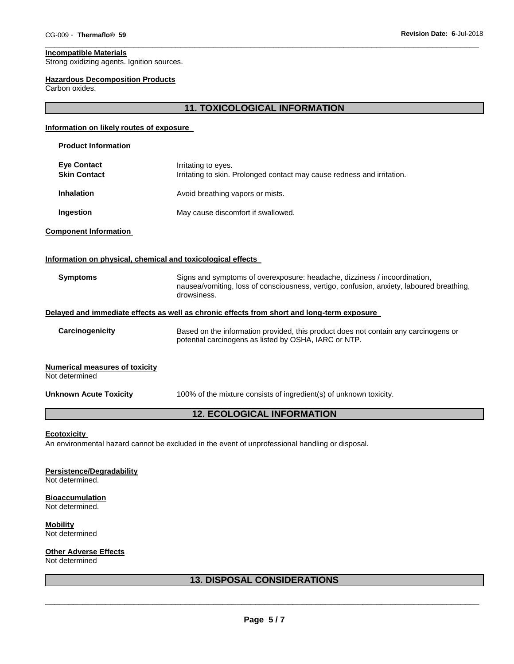# **Incompatible Materials**

Strong oxidizing agents. Ignition sources.

#### **Hazardous Decomposition Products**

Carbon oxides.

# **11. TOXICOLOGICAL INFORMATION**

\_\_\_\_\_\_\_\_\_\_\_\_\_\_\_\_\_\_\_\_\_\_\_\_\_\_\_\_\_\_\_\_\_\_\_\_\_\_\_\_\_\_\_\_\_\_\_\_\_\_\_\_\_\_\_\_\_\_\_\_\_\_\_\_\_\_\_\_\_\_\_\_\_\_\_\_\_\_\_\_\_\_\_\_\_\_\_\_\_\_\_\_\_

## **Information on likely routes of exposure**

| <b>Product Information</b>                                  |                                                                                                                                                                                      |  |  |
|-------------------------------------------------------------|--------------------------------------------------------------------------------------------------------------------------------------------------------------------------------------|--|--|
| <b>Eye Contact</b><br><b>Skin Contact</b>                   | Irritating to eyes.<br>Irritating to skin. Prolonged contact may cause redness and irritation.                                                                                       |  |  |
| <b>Inhalation</b>                                           | Avoid breathing vapors or mists.                                                                                                                                                     |  |  |
| Ingestion                                                   | May cause discomfort if swallowed.                                                                                                                                                   |  |  |
| <b>Component Information</b>                                |                                                                                                                                                                                      |  |  |
| Information on physical, chemical and toxicological effects |                                                                                                                                                                                      |  |  |
| <b>Symptoms</b>                                             | Signs and symptoms of overexposure: headache, dizziness / incoordination,<br>nausea/vomiting, loss of consciousness, vertigo, confusion, anxiety, laboured breathing,<br>drowsiness. |  |  |
|                                                             | Delayed and immediate effects as well as chronic effects from short and long-term exposure                                                                                           |  |  |
| Carcinogenicity                                             | Based on the information provided, this product does not contain any carcinogens or<br>potential carcinogens as listed by OSHA, IARC or NTP.                                         |  |  |
| <b>Numerical measures of toxicity</b><br>Not determined     |                                                                                                                                                                                      |  |  |
| <b>Unknown Acute Toxicity</b>                               | 100% of the mixture consists of ingredient(s) of unknown toxicity.                                                                                                                   |  |  |
| <b>12. ECOLOGICAL INFORMATION</b>                           |                                                                                                                                                                                      |  |  |

## **Ecotoxicity**

An environmental hazard cannot be excluded in the event of unprofessional handling or disposal.

**Persistence/Degradability**

Not determined.

**Bioaccumulation** Not determined.

**Mobility** Not determined

**Other Adverse Effects**

Not determined

# **13. DISPOSAL CONSIDERATIONS**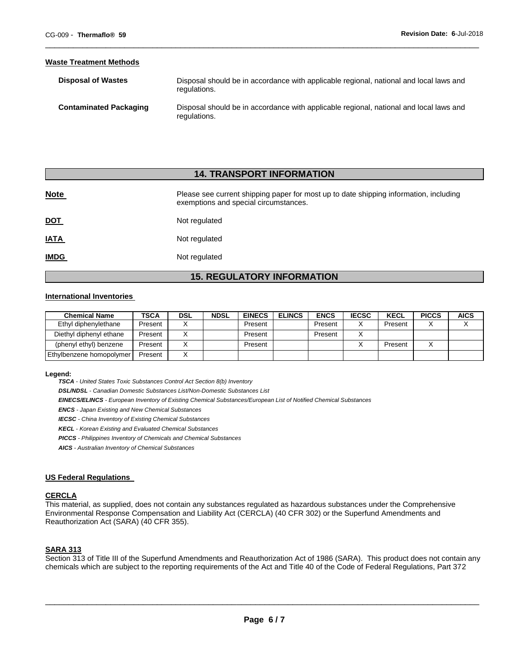#### **Waste Treatment Methods**

| <b>Disposal of Wastes</b>     | Disposal should be in accordance with applicable regional, national and local laws and<br>regulations. |
|-------------------------------|--------------------------------------------------------------------------------------------------------|
| <b>Contaminated Packaging</b> | Disposal should be in accordance with applicable regional, national and local laws and<br>regulations. |

\_\_\_\_\_\_\_\_\_\_\_\_\_\_\_\_\_\_\_\_\_\_\_\_\_\_\_\_\_\_\_\_\_\_\_\_\_\_\_\_\_\_\_\_\_\_\_\_\_\_\_\_\_\_\_\_\_\_\_\_\_\_\_\_\_\_\_\_\_\_\_\_\_\_\_\_\_\_\_\_\_\_\_\_\_\_\_\_\_\_\_\_\_

## **14. TRANSPORT INFORMATION**

| <b>Note</b> | Please see current shipping paper for most up to date shipping information, including<br>exemptions and special circumstances. |
|-------------|--------------------------------------------------------------------------------------------------------------------------------|
| <u>DOT</u>  | Not regulated                                                                                                                  |
| <b>IATA</b> | Not regulated                                                                                                                  |
| <b>IMDG</b> | Not regulated                                                                                                                  |

# **15. REGULATORY INFORMATION**

## **International Inventories**

| <b>Chemical Name</b>     | <b>TSCA</b> | <b>DSL</b> | NDSL | <b>EINECS</b> | <b>ELINCS</b> | <b>ENCS</b> | <b>IECSC</b> | <b>KECL</b> | <b>PICCS</b> | <b>AICS</b> |
|--------------------------|-------------|------------|------|---------------|---------------|-------------|--------------|-------------|--------------|-------------|
| Ethyl diphenylethane     | Present     |            |      | Present       |               | Present     |              | Present     |              |             |
| Diethyl diphenyl ethane  | Present     |            |      | Present       |               | Present     |              |             |              |             |
| (phenyl ethyl) benzene   | Present     |            |      | Present       |               |             |              | Present     |              |             |
| Ethylbenzene homopolymer | Present     |            |      |               |               |             |              |             |              |             |

#### **Legend:**

*TSCA - United States Toxic Substances Control Act Section 8(b) Inventory* 

*DSL/NDSL - Canadian Domestic Substances List/Non-Domestic Substances List* 

*EINECS/ELINCS - European Inventory of Existing Chemical Substances/European List of Notified Chemical Substances* 

*ENCS - Japan Existing and New Chemical Substances* 

*IECSC - China Inventory of Existing Chemical Substances* 

*KECL - Korean Existing and Evaluated Chemical Substances* 

*PICCS - Philippines Inventory of Chemicals and Chemical Substances* 

*AICS - Australian Inventory of Chemical Substances* 

## **US Federal Regulations**

#### **CERCLA**

This material, as supplied, does not contain any substances regulated as hazardous substances under the Comprehensive Environmental Response Compensation and Liability Act (CERCLA) (40 CFR 302) or the Superfund Amendments and Reauthorization Act (SARA) (40 CFR 355).

# **SARA 313**

Section 313 of Title III of the Superfund Amendments and Reauthorization Act of 1986 (SARA). This product does not contain any chemicals which are subject to the reporting requirements of the Act and Title 40 of the Code of Federal Regulations, Part 372